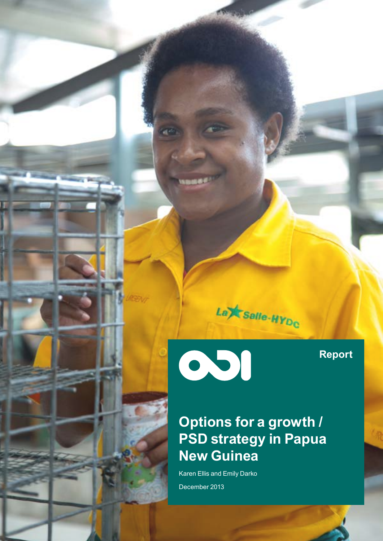

001

**Base** 

**Report**

### **Options for a growth / PSD strategy in Papua New Guinea**

Karen Ellis and Emily Darko December 2013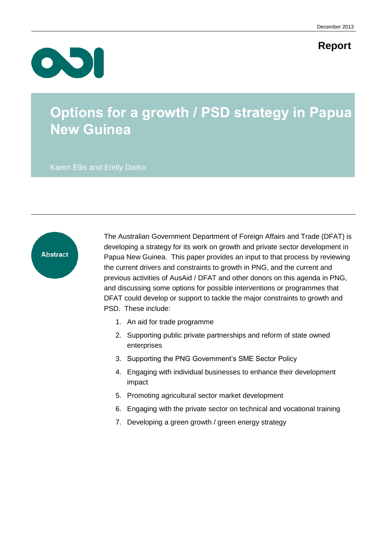### **Report**



### **Options for a growth / PSD strategy in Papua New Guinea**

Karen Ellis and Emily Darko



The Australian Government Department of Foreign Affairs and Trade (DFAT) is developing a strategy for its work on growth and private sector development in Papua New Guinea. This paper provides an input to that process by reviewing the current drivers and constraints to growth in PNG, and the current and previous activities of AusAid / DFAT and other donors on this agenda in PNG, and discussing some options for possible interventions or programmes that DFAT could develop or support to tackle the major constraints to growth and PSD. These include:

- 1. An aid for trade programme
- 2. Supporting public private partnerships and reform of state owned enterprises
- 3. Supporting the PNG Government's SME Sector Policy
- 4. Engaging with individual businesses to enhance their development impact
- 5. Promoting agricultural sector market development
- 6. Engaging with the private sector on technical and vocational training
- 7. Developing a green growth / green energy strategy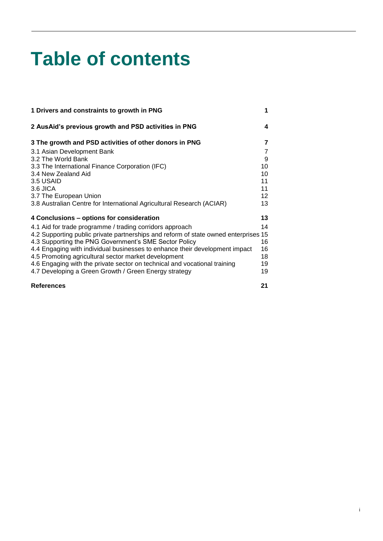# **Table of contents**

| 1 Drivers and constraints to growth in PNG                                          | 1  |
|-------------------------------------------------------------------------------------|----|
| 2 AusAid's previous growth and PSD activities in PNG                                | 4  |
| 3 The growth and PSD activities of other donors in PNG                              | 7  |
| 3.1 Asian Development Bank                                                          | 7  |
| 3.2 The World Bank                                                                  | 9  |
| 3.3 The International Finance Corporation (IFC)                                     | 10 |
| 3.4 New Zealand Aid                                                                 | 10 |
| 3.5 USAID                                                                           | 11 |
| $3.6$ JICA                                                                          | 11 |
| 3.7 The European Union                                                              | 12 |
| 3.8 Australian Centre for International Agricultural Research (ACIAR)               | 13 |
| 4 Conclusions – options for consideration                                           | 13 |
| 4.1 Aid for trade programme / trading corridors approach                            | 14 |
| 4.2 Supporting public private partnerships and reform of state owned enterprises 15 |    |
| 4.3 Supporting the PNG Government's SME Sector Policy                               | 16 |
| 4.4 Engaging with individual businesses to enhance their development impact         | 16 |
| 4.5 Promoting agricultural sector market development                                | 18 |
| 4.6 Engaging with the private sector on technical and vocational training           | 19 |
| 4.7 Developing a Green Growth / Green Energy strategy                               | 19 |
| <b>References</b>                                                                   | 21 |

i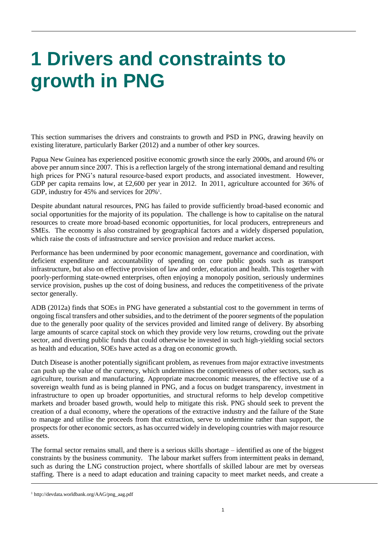## <span id="page-3-0"></span>**1 Drivers and constraints to growth in PNG**

This section summarises the drivers and constraints to growth and PSD in PNG, drawing heavily on existing literature, particularly Barker (2012) and a number of other key sources.

Papua New Guinea has experienced positive economic growth since the early 2000s, and around 6% or above per annum since 2007. This is a reflection largely of the strong international demand and resulting high prices for PNG's natural resource-based export products, and associated investment. However, GDP per capita remains low, at £2,600 per year in 2012. In 2011, agriculture accounted for 36% of GDP, industry for 45% and services for 20%<sup>1</sup>.

Despite abundant natural resources, PNG has failed to provide sufficiently broad-based economic and social opportunities for the majority of its population. The challenge is how to capitalise on the natural resources to create more broad-based economic opportunities, for local producers, entrepreneurs and SMEs. The economy is also constrained by geographical factors and a widely dispersed population, which raise the costs of infrastructure and service provision and reduce market access.

Performance has been undermined by poor economic management, governance and coordination, with deficient expenditure and accountability of spending on core public goods such as transport infrastructure, but also on effective provision of law and order, education and health. This together with poorly-performing state-owned enterprises, often enjoying a monopoly position, seriously undermines service provision, pushes up the cost of doing business, and reduces the competitiveness of the private sector generally.

ADB (2012a) finds that SOEs in PNG have generated a substantial cost to the government in terms of ongoing fiscal transfers and other subsidies, and to the detriment of the poorer segments of the population due to the generally poor quality of the services provided and limited range of delivery. By absorbing large amounts of scarce capital stock on which they provide very low returns, crowding out the private sector, and diverting public funds that could otherwise be invested in such high-yielding social sectors as health and education, SOEs have acted as a drag on economic growth.

Dutch Disease is another potentially significant problem, as revenues from major extractive investments can push up the value of the currency, which undermines the competitiveness of other sectors, such as agriculture, tourism and manufacturing. Appropriate macroeconomic measures, the effective use of a sovereign wealth fund as is being planned in PNG, and a focus on budget transparency, investment in infrastructure to open up broader opportunities, and structural reforms to help develop competitive markets and broader based growth, would help to mitigate this risk. PNG should seek to prevent the creation of a dual economy, where the operations of the extractive industry and the failure of the State to manage and utilise the proceeds from that extraction, serve to undermine rather than support, the prospects for other economic sectors, as has occurred widely in developing countries with major resource assets.

The formal sector remains small, and there is a serious skills shortage – identified as one of the biggest constraints by the business community. The labour market suffers from intermittent peaks in demand, such as during the LNG construction project, where shortfalls of skilled labour are met by overseas staffing. There is a need to adapt education and training capacity to meet market needs, and create a

<sup>1</sup> http://devdata.worldbank.org/AAG/png\_aag.pdf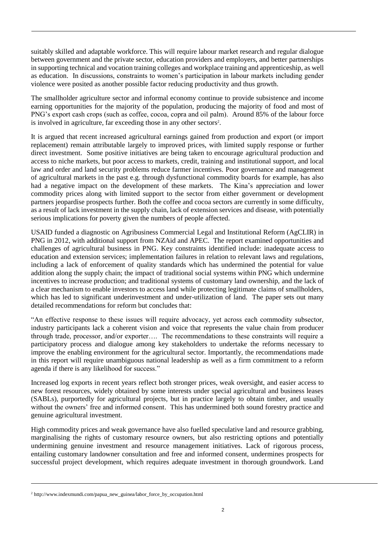suitably skilled and adaptable workforce. This will require labour market research and regular dialogue between government and the private sector, education providers and employers, and better partnerships in supporting technical and vocation training colleges and workplace training and apprenticeship, as well as education. In discussions, constraints to women's participation in labour markets including gender violence were posited as another possible factor reducing productivity and thus growth.

The smallholder agriculture sector and informal economy continue to provide subsistence and income earning opportunities for the majority of the population, producing the majority of food and most of PNG's export cash crops (such as coffee, cocoa, copra and oil palm). Around 85% of the labour force is involved in agriculture, far exceeding those in any other sectors<sup>2</sup>.

It is argued that recent increased agricultural earnings gained from production and export (or import replacement) remain attributable largely to improved prices, with limited supply response or further direct investment. Some positive initiatives are being taken to encourage agricultural production and access to niche markets, but poor access to markets, credit, training and institutional support, and local law and order and land security problems reduce farmer incentives. Poor governance and management of agricultural markets in the past e.g. through dysfunctional commodity boards for example, has also had a negative impact on the development of these markets. The Kina's appreciation and lower commodity prices along with limited support to the sector from either government or development partners jeopardise prospects further. Both the coffee and cocoa sectors are currently in some difficulty, as a result of lack investment in the supply chain, lack of extension services and disease, with potentially serious implications for poverty given the numbers of people affected.

USAID funded a diagnostic on Agribusiness Commercial Legal and Institutional Reform (AgCLIR) in PNG in 2012, with additional support from NZAid and APEC. The report examined opportunities and challenges of agricultural business in PNG. Key constraints identified include: inadequate access to education and extension services; implementation failures in relation to relevant laws and regulations, including a lack of enforcement of quality standards which has undermined the potential for value addition along the supply chain; the impact of traditional social systems within PNG which undermine incentives to increase production; and traditional systems of customary land ownership, and the lack of a clear mechanism to enable investors to access land while protecting legitimate claims of smallholders, which has led to significant underinvestment and under-utilization of land. The paper sets out many detailed recommendations for reform but concludes that:

"An effective response to these issues will require advocacy, yet across each commodity subsector, industry participants lack a coherent vision and voice that represents the value chain from producer through trade, processor, and/or exporter…. The recommendations to these constraints will require a participatory process and dialogue among key stakeholders to undertake the reforms necessary to improve the enabling environment for the agricultural sector. Importantly, the recommendations made in this report will require unambiguous national leadership as well as a firm commitment to a reform agenda if there is any likelihood for success."

Increased log exports in recent years reflect both stronger prices, weak oversight, and easier access to new forest resources, widely obtained by some interests under special agricultural and business leases (SABLs), purportedly for agricultural projects, but in practice largely to obtain timber, and usually without the owners' free and informed consent. This has undermined both sound forestry practice and genuine agricultural investment.

High commodity prices and weak governance have also fuelled speculative land and resource grabbing, marginalising the rights of customary resource owners, but also restricting options and potentially undermining genuine investment and resource management initiatives. Lack of rigorous process, entailing customary landowner consultation and free and informed consent, undermines prospects for successful project development, which requires adequate investment in thorough groundwork. Land

<sup>2</sup> http://www.indexmundi.com/papua\_new\_guinea/labor\_force\_by\_occupation.html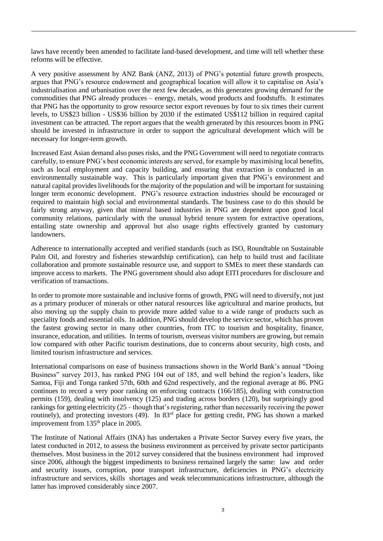laws have recently been amended to facilitate land-based development, and time will tell whether these reforms will be effective.

A very positive assessment by ANZ Bank (ANZ, 2013) of PNG's potential future growth prospects, argues that PNG's resource endowment and geographical location will allow it to capitalise on Asia's industrialisation and urbanisation over the next few decades, as this generates growing demand for the commodities that PNG already produces – energy, metals, wood products and foodstuffs. It estimates that PNG has the opportunity to grow resource sector export revenues by four to six times their current levels, to US\$23 billion - US\$36 billion by 2030 if the estimated US\$112 billion in required capital investment can be attracted. The report argues that the wealth generated by this resources boom in PNG should be invested in infrastructure in order to support the agricultural development which will be necessary for longer-term growth.

Increased East Asian demand also poses risks, and the PNG Government will need to negotiate contracts carefully, to ensure PNG's best economic interests are served, for example by maximising local benefits, such as local employment and capacity building, and ensuring that extraction is conducted in an environmentally sustainable way. This is particularly important given that PNG's environment and natural capital provides livelihoods for the majority of the population and will be important for sustaining longer term economic development. PNG's resource extraction industries should be encouraged or required to maintain high social and environmental standards. The business case to do this should be fairly strong anyway, given that mineral based industries in PNG are dependent upon good local community relations, particularly with the unusual hybrid tenure system for extractive operations, entailing state ownership and approval but also usage rights effectively granted by customary landowners.

Adherence to internationally accepted and verified standards (such as ISO, Roundtable on Sustainable Palm Oil, and forestry and fisheries stewardship certification), can help to build trust and facilitate collaboration and promote sustainable resource use, and support to SMEs to meet these standards can improve access to markets. The PNG government should also adopt EITI procedures for disclosure and verification of transactions.

In order to promote more sustainable and inclusive forms of growth, PNG will need to diversify, not just as a primary producer of minerals or other natural resources like agricultural and marine products, but also moving up the supply chain to provide more added value to a wide range of products such as speciality foods and essential oils. In addition, PNG should develop the service sector, which has proven the fastest growing sector in many other countries, from ITC to tourism and hospitality, finance, insurance, education, and utilities. In terms of tourism, overseas visitor numbers are growing, but remain low compared with other Pacific tourism destinations, due to concerns about security, high costs, and limited tourism infrastructure and services.

International comparisons on ease of business transactions shown in the World Bank's annual "Doing Business" survey 2013, has ranked PNG 104 out of 185, and well behind the region's leaders, like Samoa, Fiji and Tonga ranked 57th, 60th and 62nd respectively, and the regional average at 86. PNG continues to record a very poor ranking on enforcing contracts (166/185), dealing with construction permits (159), dealing with insolvency (125) and trading across borders (120), but surprisingly good rankings for getting electricity (25 – though that's registering, rather than necessarily receiving the power routinely), and protecting investors (49). In 83<sup>rd</sup> place for getting credit, PNG has shown a marked improvement from 135<sup>th</sup> place in 2005.

The Institute of National Affairs (INA) has undertaken a Private Sector Survey every five years, the latest conducted in 2012, to assess the business environment as perceived by private sector participants themselves. Most business in the 2012 survey considered that the business environment had improved since 2006, although the biggest impediments to business remained largely the same: law and order and security issues, corruption, poor transport infrastructure, deficiencies in PNG's electricity infrastructure and services, skills shortages and weak telecommunications infrastructure, although the latter has improved considerably since 2007.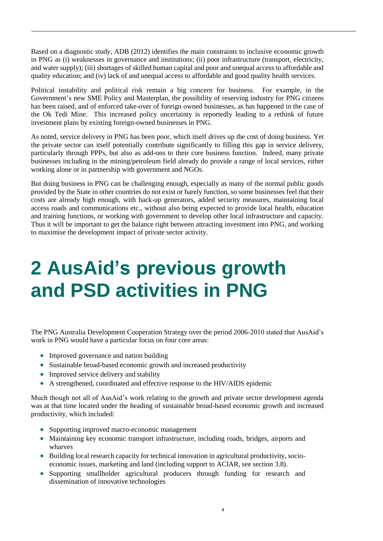Based on a diagnostic study, ADB (2012) identifies the main constraints to inclusive economic growth in PNG as (i) weaknesses in governance and institutions; (ii) poor infrastructure (transport, electricity, and water supply); (iii) shortages of skilled human capital and poor and unequal access to affordable and quality education; and (iv) lack of and unequal access to affordable and good quality health services.

Political instability and political risk remain a big concern for business. For example, in the Government's new SME Policy and Masterplan, the possibility of reserving industry for PNG citizens has been raised, and of enforced take-over of foreign owned businesses, as has happened in the case of the Ok Tedi Mine. This increased policy uncertainty is reportedly leading to a rethink of future investment plans by existing foreign-owned businesses in PNG.

As noted, service delivery in PNG has been poor, which itself drives up the cost of doing business. Yet the private sector can itself potentially contribute significantly to filling this gap in service delivery, particularly through PPPs, but also as add-ons to their core business function. Indeed, many private businesses including in the mining/petroleum field already do provide a range of local services, either working alone or in partnership with government and NGOs.

But doing business in PNG can be challenging enough, especially as many of the normal public goods provided by the State in other countries do not exist or barely function, so some businesses feel that their costs are already high enough, with back-up generators, added security measures, maintaining local access roads and communications etc., without also being expected to provide local health, education and training functions, or working with government to develop other local infrastructure and capacity. Thus it will be important to get the balance right between attracting investment into PNG, and working to maximise the development impact of private sector activity.

## <span id="page-6-0"></span>**2 AusAid's previous growth and PSD activities in PNG**

The PNG Australia Development Cooperation Strategy over the period 2006-2010 stated that AusAid's work in PNG would have a particular focus on four core areas:

- Improved governance and nation building
- Sustainable broad-based economic growth and increased productivity
- Improved service delivery and stability
- A strengthened, coordinated and effective response to the HIV/AIDS epidemic

Much though not all of AusAid's work relating to the growth and private sector development agenda was at that time located under the heading of sustainable broad-based economic growth and increased productivity, which included:

- Supporting improved macro-economic management
- Maintaining key economic transport infrastructure, including roads, bridges, airports and wharves
- Building local research capacity for technical innovation in agricultural productivity, socioeconomic issues, marketing and land (including support to ACIAR, see section 3.8).
- Supporting smallholder agricultural producers through funding for research and dissemination of innovative technologies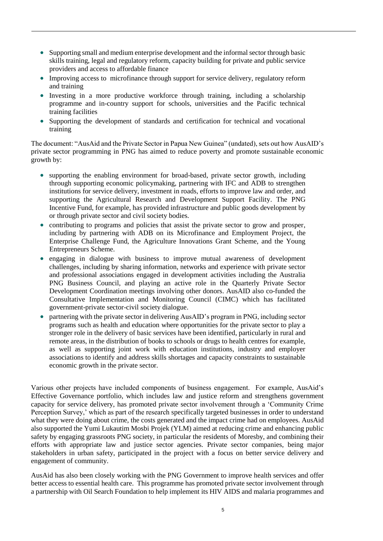- Supporting small and medium enterprise development and the informal sector through basic skills training, legal and regulatory reform, capacity building for private and public service providers and access to affordable finance
- Improving access to microfinance through support for service delivery, regulatory reform and training
- Investing in a more productive workforce through training, including a scholarship programme and in-country support for schools, universities and the Pacific technical training facilities
- Supporting the development of standards and certification for technical and vocational training

The document: "AusAid and the Private Sector in Papua New Guinea" (undated), sets out how AusAID's private sector programming in PNG has aimed to reduce poverty and promote sustainable economic growth by:

- supporting the enabling environment for broad-based, private sector growth, including through supporting economic policymaking, partnering with IFC and ADB to strengthen institutions for service delivery, investment in roads, efforts to improve law and order, and supporting the Agricultural Research and Development Support Facility. The PNG Incentive Fund, for example, has provided infrastructure and public goods development by or through private sector and civil society bodies.
- contributing to programs and policies that assist the private sector to grow and prosper, including by partnering with ADB on its Microfinance and Employment Project, the Enterprise Challenge Fund, the Agriculture Innovations Grant Scheme, and the Young Entrepreneurs Scheme.
- engaging in dialogue with business to improve mutual awareness of development challenges, including by sharing information, networks and experience with private sector and professional associations engaged in development activities including the Australia PNG Business Council, and playing an active role in the Quarterly Private Sector Development Coordination meetings involving other donors. AusAID also co-funded the Consultative Implementation and Monitoring Council (CIMC) which has facilitated government-private sector-civil society dialogue.
- partnering with the private sector in delivering AusAID's program in PNG, including sector programs such as health and education where opportunities for the private sector to play a stronger role in the delivery of basic services have been identified, particularly in rural and remote areas, in the distribution of books to schools or drugs to health centres for example, as well as supporting joint work with education institutions, industry and employer associations to identify and address skills shortages and capacity constraints to sustainable economic growth in the private sector.

Various other projects have included components of business engagement. For example, AusAid's Effective Governance portfolio, which includes law and justice reform and strengthens government capacity for service delivery, has promoted private sector involvement through a 'Community Crime Perception Survey,' which as part of the research specifically targeted businesses in order to understand what they were doing about crime, the costs generated and the impact crime had on employees. AusAid also supported the Yumi Lukautim Mosbi Projek (YLM) aimed at reducing crime and enhancing public safety by engaging grassroots PNG society, in particular the residents of Moresby, and combining their efforts with appropriate law and justice sector agencies. Private sector companies, being major stakeholders in urban safety, participated in the project with a focus on better service delivery and engagement of community.

AusAid has also been closely working with the PNG Government to improve health services and offer better access to essential health care. This programme has promoted private sector involvement through a partnership with Oil Search Foundation to help implement its HIV AIDS and malaria programmes and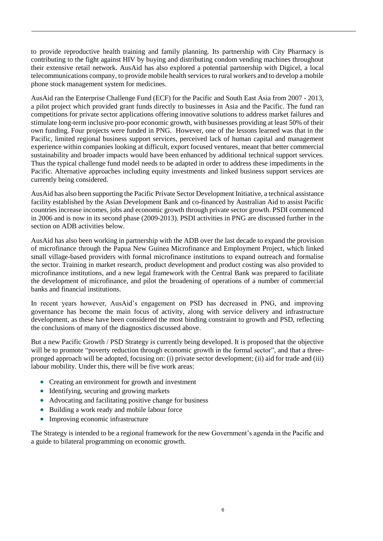to provide reproductive health training and family planning. Its partnership with City Pharmacy is contributing to the fight against HIV by buying and distributing condom vending machines throughout their extensive retail network. AusAid has also explored a potential partnership with Digicel, a local telecommunications company, to provide mobile health services to rural workers and to develop a mobile phone stock management system for medicines.

AusAid ran the Enterprise Challenge Fund (ECF) for the Pacific and South East Asia from 2007 - 2013, a pilot project which provided grant funds directly to businesses in Asia and the Pacific. The fund ran competitions for private sector applications offering innovative solutions to address market failures and stimulate long-term inclusive pro-poor economic growth, with businesses providing at least 50% of their own funding. Four projects were funded in PNG. However, one of the lessons learned was that in the Pacific, limited regional business support services, perceived lack of human capital and management experience within companies looking at difficult, export focused ventures, meant that better commercial sustainability and broader impacts would have been enhanced by additional technical support services. Thus the typical challenge fund model needs to be adapted in order to address these impediments in the Pacific. Alternative approaches including equity investments and linked business support services are currently being considered.

AusAid has also been supporting the Pacific Private Sector Development Initiative, a technical assistance facility established by the Asian Development Bank and co-financed by Australian Aid to assist Pacific countries increase incomes, jobs and economic growth through private sector growth. PSDI commenced in 2006 and is now in its second phase (2009-2013). PSDI activities in PNG are discussed further in the section on ADB activities below.

AusAid has also been working in partnership with the ADB over the last decade to expand the provision of microfinance through the Papua New Guinea Microfinance and Employment Project, which linked small village-based providers with formal microfinance institutions to expand outreach and formalise the sector. Training in market research, product development and product costing was also provided to microfinance institutions, and a new legal framework with the Central Bank was prepared to facilitate the development of microfinance, and pilot the broadening of operations of a number of commercial banks and financial institutions.

In recent years however, AusAid's engagement on PSD has decreased in PNG, and improving governance has become the main focus of activity, along with service delivery and infrastructure development, as these have been considered the most binding constraint to growth and PSD, reflecting the conclusions of many of the diagnostics discussed above.

But a new Pacific Growth / PSD Strategy is currently being developed. It is proposed that the objective will be to promote "poverty reduction through economic growth in the formal sector", and that a threepronged approach will be adopted, focusing on: (i) private sector development; (ii) aid for trade and (iii) labour mobility. Under this, there will be five work areas:

- Creating an environment for growth and investment
- Identifying, securing and growing markets
- Advocating and facilitating positive change for business
- Building a work ready and mobile labour force
- Improving economic infrastructure

The Strategy is intended to be a regional framework for the new Government's agenda in the Pacific and a guide to bilateral programming on economic growth.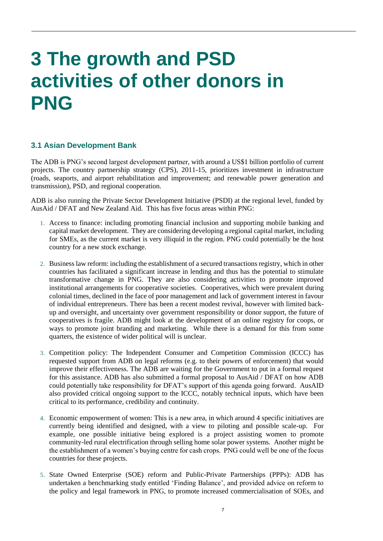## <span id="page-9-0"></span>**3 The growth and PSD activities of other donors in PNG**

#### <span id="page-9-1"></span>**3.1 Asian Development Bank**

The ADB is PNG's second largest development partner, with around a US\$1 billion portfolio of current projects. The country partnership strategy (CPS), 2011-15, prioritizes investment in infrastructure (roads, seaports, and airport rehabilitation and improvement; and renewable power generation and transmission), PSD, and regional cooperation.

ADB is also running the Private Sector Development Initiative (PSDI) at the regional level, funded by AusAid / DFAT and New Zealand Aid. This has five focus areas within PNG:

- 1. Access to finance: including promoting financial inclusion and supporting mobile banking and capital market development. They are considering developing a regional capital market, including for SMEs, as the current market is very illiquid in the region. PNG could potentially be the host country for a new stock exchange.
- 2. Business law reform: including the establishment of a secured transactions registry, which in other countries has facilitated a significant increase in lending and thus has the potential to stimulate transformative change in PNG. They are also considering activities to promote improved institutional arrangements for cooperative societies. Cooperatives, which were prevalent during colonial times, declined in the face of poor management and lack of government interest in favour of individual entrepreneurs. There has been a recent modest revival, however with limited backup and oversight, and uncertainty over government responsibility or donor support, the future of cooperatives is fragile. ADB might look at the development of an online registry for coops, or ways to promote joint branding and marketing. While there is a demand for this from some quarters, the existence of wider political will is unclear.
- 3. Competition policy: The Independent Consumer and Competition Commission (ICCC) has requested support from ADB on legal reforms (e.g. to their powers of enforcement) that would improve their effectiveness. The ADB are waiting for the Government to put in a formal request for this assistance. ADB has also submitted a formal proposal to AusAid / DFAT on how ADB could potentially take responsibility for DFAT's support of this agenda going forward. AusAID also provided critical ongoing support to the ICCC, notably technical inputs, which have been critical to its performance, credibility and continuity.
- 4. Economic empowerment of women: This is a new area, in which around 4 specific initiatives are currently being identified and designed, with a view to piloting and possible scale-up. For example, one possible initiative being explored is a project assisting women to promote community-led rural electrification through selling home solar power systems. Another might be the establishment of a women's buying centre for cash crops. PNG could well be one of the focus countries for these projects.
- 5. State Owned Enterprise (SOE) reform and Public-Private Partnerships (PPPs): ADB has undertaken a benchmarking study entitled 'Finding Balance', and provided advice on reform to the policy and legal framework in PNG, to promote increased commercialisation of SOEs, and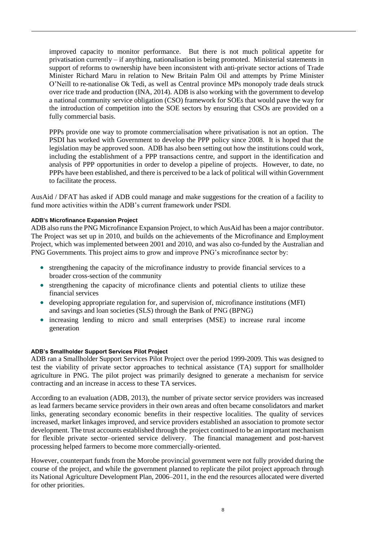improved capacity to monitor performance. But there is not much political appetite for privatisation currently – if anything, nationalisation is being promoted. Ministerial statements in support of reforms to ownership have been inconsistent with anti-private sector actions of Trade Minister Richard Maru in relation to New Britain Palm Oil and attempts by Prime Minister O'Neill to re-nationalise Ok Tedi, as well as Central province MPs monopoly trade deals struck over rice trade and production (INA, 2014). ADB is also working with the government to develop a national community service obligation (CSO) framework for SOEs that would pave the way for the introduction of competition into the SOE sectors by ensuring that CSOs are provided on a fully commercial basis.

PPPs provide one way to promote commercialisation where privatisation is not an option. The PSDI has worked with Government to develop the PPP policy since 2008. It is hoped that the legislation may be approved soon. ADB has also been setting out how the institutions could work, including the establishment of a PPP transactions centre, and support in the identification and analysis of PPP opportunities in order to develop a pipeline of projects. However, to date, no PPPs have been established, and there is perceived to be a lack of political will within Government to facilitate the process.

AusAid / DFAT has asked if ADB could manage and make suggestions for the creation of a facility to fund more activities within the ADB's current framework under PSDI.

#### **ADB's Microfinance Expansion Project**

ADB also runs the PNG Microfinance Expansion Project, to which AusAid has been a major contributor. The Project was set up in 2010, and builds on the achievements of the Microfinance and Employment Project, which was implemented between 2001 and 2010, and was also co-funded by the Australian and PNG Governments. This project aims to grow and improve PNG's microfinance sector by:

- strengthening the capacity of the microfinance industry to provide financial services to a broader cross-section of the community
- strengthening the capacity of microfinance clients and potential clients to utilize these financial services
- developing appropriate regulation for, and supervision of, microfinance institutions (MFI) and savings and loan societies (SLS) through the Bank of PNG (BPNG)
- increasing lending to micro and small enterprises (MSE) to increase rural income generation

#### **ADB's Smallholder Support Services Pilot Project**

ADB ran a Smallholder Support Services Pilot Project over the period 1999-2009. This was designed to test the viability of private sector approaches to technical assistance (TA) support for smallholder agriculture in PNG. The pilot project was primarily designed to generate a mechanism for service contracting and an increase in access to these TA services.

According to an evaluation (ADB, 2013), the number of private sector service providers was increased as lead farmers became service providers in their own areas and often became consolidators and market links, generating secondary economic benefits in their respective localities. The quality of services increased, market linkages improved, and service providers established an association to promote sector development. The trust accounts established through the project continued to be an important mechanism for flexible private sector–oriented service delivery. The financial management and post-harvest processing helped farmers to become more commercially-oriented.

However, counterpart funds from the Morobe provincial government were not fully provided during the course of the project, and while the government planned to replicate the pilot project approach through its National Agriculture Development Plan, 2006–2011, in the end the resources allocated were diverted for other priorities.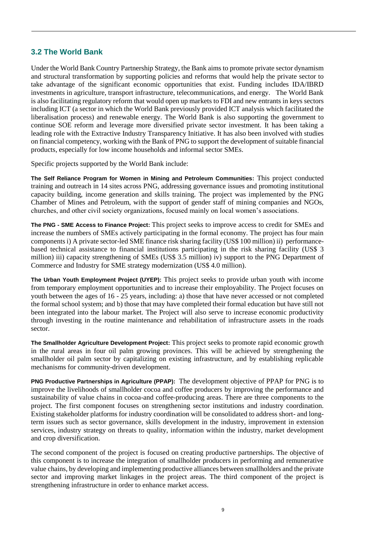#### <span id="page-11-0"></span>**3.2 The World Bank**

Under the World Bank Country Partnership Strategy, the Bank aims to promote private sector dynamism and structural transformation by supporting policies and reforms that would help the private sector to take advantage of the significant economic opportunities that exist. Funding includes IDA/IBRD investments in agriculture, transport infrastructure, telecommunications, and energy. The World Bank is also facilitating regulatory reform that would open up markets to FDI and new entrants in keys sectors including ICT (a sector in which the World Bank previously provided ICT analysis which facilitated the liberalisation process) and renewable energy. The World Bank is also supporting the government to continue SOE reform and leverage more diversified private sector investment. It has been taking a leading role with the Extractive Industry Transparency Initiative. It has also been involved with studies on financial competency, working with the Bank of PNG to support the development of suitable financial products, especially for low income households and informal sector SMEs.

Specific projects supported by the World Bank include:

**The Self Reliance Program for Women in Mining and Petroleum Communities:** This project conducted training and outreach in 14 sites across PNG, addressing governance issues and promoting institutional capacity building, income generation and skills training. The project was implemented by the PNG Chamber of Mines and Petroleum, with the support of gender staff of mining companies and NGOs, churches, and other civil society organizations, focused mainly on local women's associations.

**The PNG - SME Access to Finance Project:** This project seeks to improve access to credit for SMEs and increase the numbers of SMEs actively participating in the formal economy. The project has four main components i) A private sector-led SME finance risk sharing facility (US\$ 100 million) ii) performancebased technical assistance to financial institutions participating in the risk sharing facility (US\$ 3 million) iii) capacity strengthening of SMEs (US\$ 3.5 million) iv) support to the PNG Department of Commerce and Industry for SME strategy modernization (US\$ 4.0 million).

**The Urban Youth Employment Project (UYEP):** This project seeks to provide urban youth with income from temporary employment opportunities and to increase their employability. The Project focuses on youth between the ages of 16 - 25 years, including: a) those that have never accessed or not completed the formal school system; and b) those that may have completed their formal education but have still not been integrated into the labour market. The Project will also serve to increase economic productivity through investing in the routine maintenance and rehabilitation of infrastructure assets in the roads sector.

**The Smallholder Agriculture Development Project:** This project seeks to promote rapid economic growth in the rural areas in four oil palm growing provinces. This will be achieved by strengthening the smallholder oil palm sector by capitalizing on existing infrastructure, and by establishing replicable mechanisms for community-driven development.

**PNG Productive Partnerships in Agriculture (PPAP):** The development objective of PPAP for PNG is to improve the livelihoods of smallholder cocoa and coffee producers by improving the performance and sustainability of value chains in cocoa-and coffee-producing areas. There are three components to the project. The first component focuses on strengthening sector institutions and industry coordination. Existing stakeholder platforms for industry coordination will be consolidated to address short- and longterm issues such as sector governance, skills development in the industry, improvement in extension services, industry strategy on threats to quality, information within the industry, market development and crop diversification.

The second component of the project is focused on creating productive partnerships. The objective of this component is to increase the integration of smallholder producers in performing and remunerative value chains, by developing and implementing productive alliances between smallholders and the private sector and improving market linkages in the project areas. The third component of the project is strengthening infrastructure in order to enhance market access.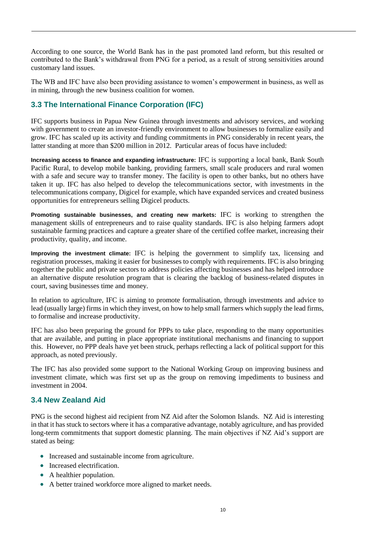According to one source, the World Bank has in the past promoted land reform, but this resulted or contributed to the Bank's withdrawal from PNG for a period, as a result of strong sensitivities around customary land issues.

The WB and IFC have also been providing assistance to women's empowerment in business, as well as in mining, through the new business coalition for women.

#### <span id="page-12-0"></span>**3.3 The International Finance Corporation (IFC)**

IFC supports business in Papua New Guinea through investments and advisory services, and working with government to create an investor-friendly environment to allow businesses to formalize easily and grow. IFC has scaled up its activity and funding commitments in PNG considerably in recent years, the latter standing at more than \$200 million in 2012. Particular areas of focus have included:

**Increasing access to finance and expanding infrastructure:** IFC is supporting a local bank, Bank South Pacific Rural, to develop mobile banking, providing farmers, small scale producers and rural women with a safe and secure way to transfer money. The facility is open to other banks, but no others have taken it up. IFC has also helped to develop the telecommunications sector, with investments in the telecommunications company, Digicel for example, which have expanded services and created business opportunities for entrepreneurs selling Digicel products.

**Promoting sustainable businesses, and creating new markets:** IFC is working to strengthen the management skills of entrepreneurs and to raise quality standards. IFC is also helping farmers adopt sustainable farming practices and capture a greater share of the certified coffee market, increasing their productivity, quality, and income.

**Improving the investment climate:** IFC is helping the government to simplify tax, licensing and registration processes, making it easier for businesses to comply with requirements. IFC is also bringing together the public and private sectors to address policies affecting businesses and has helped introduce an alternative dispute resolution program that is clearing the backlog of business-related disputes in court, saving businesses time and money.

In relation to agriculture, IFC is aiming to promote formalisation, through investments and advice to lead (usually large) firms in which they invest, on how to help small farmers which supply the lead firms, to formalise and increase productivity.

IFC has also been preparing the ground for PPPs to take place, responding to the many opportunities that are available, and putting in place appropriate institutional mechanisms and financing to support this. However, no PPP deals have yet been struck, perhaps reflecting a lack of political support for this approach, as noted previously.

The IFC has also provided some support to the National Working Group on improving business and investment climate, which was first set up as the group on removing impediments to business and investment in 2004.

#### <span id="page-12-1"></span>**3.4 New Zealand Aid**

PNG is the second highest aid recipient from NZ Aid after the Solomon Islands. NZ Aid is interesting in that it has stuck to sectors where it has a comparative advantage, notably agriculture, and has provided long-term commitments that support domestic planning. The main objectives if NZ Aid's support are stated as being:

- Increased and sustainable income from agriculture.
- Increased electrification.
- A healthier population.
- A better trained workforce more aligned to market needs.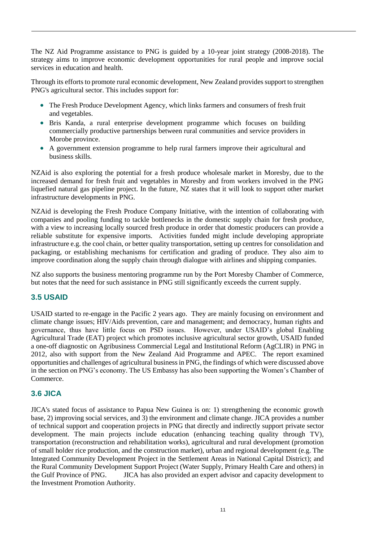The NZ Aid Programme assistance to PNG is guided by a 10-year joint strategy (2008-2018). The strategy aims to improve economic development opportunities for rural people and improve social services in education and health.

Through its efforts to promote rural economic development, New Zealand provides support to strengthen PNG's agricultural sector. This includes support for:

- The Fresh Produce Development Agency, which links farmers and consumers of fresh fruit and vegetables.
- Bris Kanda, a rural enterprise development programme which focuses on building commercially productive partnerships between rural communities and service providers in Morobe province.
- A government extension programme to help rural farmers improve their agricultural and business skills.

NZAid is also exploring the potential for a fresh produce wholesale market in Moresby, due to the increased demand for fresh fruit and vegetables in Moresby and from workers involved in the PNG liquefied natural gas pipeline project. In the future, NZ states that it will look to support other market infrastructure developments in PNG.

NZAid is developing the Fresh Produce Company Initiative, with the intention of collaborating with companies and pooling funding to tackle bottlenecks in the domestic supply chain for fresh produce, with a view to increasing locally sourced fresh produce in order that domestic producers can provide a reliable substitute for expensive imports. Activities funded might include developing appropriate infrastructure e.g. the cool chain, or better quality transportation, setting up centres for consolidation and packaging, or establishing mechanisms for certification and grading of produce. They also aim to improve coordination along the supply chain through dialogue with airlines and shipping companies.

NZ also supports the business mentoring programme run by the Port Moresby Chamber of Commerce, but notes that the need for such assistance in PNG still significantly exceeds the current supply.

#### <span id="page-13-0"></span>**3.5 USAID**

USAID started to re-engage in the Pacific 2 years ago. They are mainly focusing on environment and climate change issues; HIV/Aids prevention, care and management; and democracy, human rights and governance, thus have little focus on PSD issues. However, under USAID's global Enabling Agricultural Trade (EAT) project which promotes inclusive agricultural sector growth, USAID funded a one-off diagnostic on Agribusiness Commercial Legal and Institutional Reform (AgCLIR) in PNG in 2012, also with support from the New Zealand Aid Programme and APEC. The report examined opportunities and challenges of agricultural business in PNG, the findings of which were discussed above in the section on PNG's economy. The US Embassy has also been supporting the Women's Chamber of Commerce.

#### <span id="page-13-1"></span>**3.6 JICA**

JICA's stated focus of assistance to Papua New Guinea is on: 1) strengthening the economic growth base, 2) improving social services, and 3) the environment and climate change. JICA provides a number of technical support and cooperation projects in PNG that directly and indirectly support private sector development. The main projects include education (enhancing teaching quality through TV), transportation (reconstruction and rehabilitation works), agricultural and rural development (promotion of small holder rice production, and the construction market), urban and regional development (e.g. The Integrated Community Development Project in the Settlement Areas in National Capital District); and the Rural Community Development Support Project (Water Supply, Primary Health Care and others) in the Gulf Province of PNG. JICA has also provided an expert advisor and capacity development to the Investment Promotion Authority.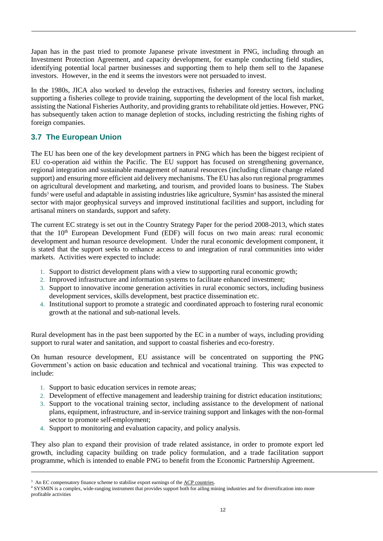Japan has in the past tried to promote Japanese private investment in PNG, including through an Investment Protection Agreement, and capacity development, for example conducting field studies, identifying potential local partner businesses and supporting them to help them sell to the Japanese investors. However, in the end it seems the investors were not persuaded to invest.

In the 1980s, JICA also worked to develop the extractives, fisheries and forestry sectors, including supporting a fisheries college to provide training, supporting the development of the local fish market, assisting the National Fisheries Authority, and providing grants to rehabilitate old jetties. However, PNG has subsequently taken action to manage depletion of stocks, including restricting the fishing rights of foreign companies.

#### <span id="page-14-0"></span>**3.7 The European Union**

The EU has been one of the key development partners in PNG which has been the biggest recipient of EU co-operation aid within the Pacific. The EU support has focused on strengthening governance, regional integration and sustainable management of natural resources (including climate change related support) and ensuring more efficient aid delivery mechanisms. The EU has also run regional programmes on agricultural development and marketing, and tourism, and provided loans to business. The Stabex funds<sup>3</sup> were useful and adaptable in assisting industries like agriculture, Sysmin<sup>4</sup> has assisted the mineral sector with major geophysical surveys and improved institutional facilities and support, including for artisanal miners on standards, support and safety.

The current EC strategy is set out in the Country Strategy Paper for the period 2008-2013, which states that the  $10<sup>th</sup>$  European Development Fund (EDF) will focus on two main areas: rural economic development and human resource development. Under the rural economic development component, it is stated that the support seeks to enhance access to and integration of rural communities into wider markets. Activities were expected to include:

- 1. Support to district development plans with a view to supporting rural economic growth;
- 2. Improved infrastructure and information systems to facilitate enhanced investment;
- 3. Support to innovative income generation activities in rural economic sectors, including business development services, skills development, best practice dissemination etc.
- 4. Institutional support to promote a strategic and coordinated approach to fostering rural economic growth at the national and sub-national levels.

Rural development has in the past been supported by the EC in a number of ways, including providing support to rural water and sanitation, and support to coastal fisheries and eco-forestry.

On human resource development, EU assistance will be concentrated on supporting the PNG Government's action on basic education and technical and vocational training. This was expected to include:

- 1. Support to basic education services in remote areas;
- 2. Development of effective management and leadership training for district education institutions;
- 3. Support to the vocational training sector, including assistance to the development of national plans, equipment, infrastructure, and in-service training support and linkages with the non-formal sector to promote self-employment:
- 4. Support to monitoring and evaluation capacity, and policy analysis.

They also plan to expand their provision of trade related assistance, in order to promote export led growth, including capacity building on trade policy formulation, and a trade facilitation support programme, which is intended to enable PNG to benefit from the Economic Partnership Agreement.

<sup>&</sup>lt;sup>3</sup> An EC compensatory finance scheme to stabilise export earnings of the [ACP countries.](http://en.wikipedia.org/wiki/ACP_countries)

<sup>4</sup> SYSMIN is a complex, wide-ranging instrument that provides support both for ailing mining industries and for diversification into more profitable activities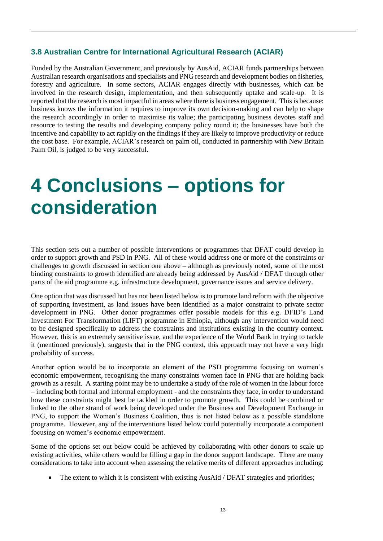#### <span id="page-15-0"></span>**3.8 Australian Centre for International Agricultural Research (ACIAR)**

Funded by the Australian Government, and previously by AusAid, ACIAR funds partnerships between Australian research organisations and specialists and PNG research and development bodies on fisheries, forestry and agriculture. In some sectors, ACIAR engages directly with businesses, which can be involved in the research design, implementation, and then subsequently uptake and scale-up. It is reported that the research is most impactful in areas where there is business engagement. This is because: business knows the information it requires to improve its own decision-making and can help to shape the research accordingly in order to maximise its value; the participating business devotes staff and resource to testing the results and developing company policy round it; the businesses have both the incentive and capability to act rapidly on the findings if they are likely to improve productivity or reduce the cost base. For example, ACIAR's research on palm oil, conducted in partnership with New Britain Palm Oil, is judged to be very successful.

### <span id="page-15-1"></span>**4 Conclusions – options for consideration**

This section sets out a number of possible interventions or programmes that DFAT could develop in order to support growth and PSD in PNG. All of these would address one or more of the constraints or challenges to growth discussed in section one above – although as previously noted, some of the most binding constraints to growth identified are already being addressed by AusAid / DFAT through other parts of the aid programme e.g. infrastructure development, governance issues and service delivery.

One option that was discussed but has not been listed below is to promote land reform with the objective of supporting investment, as land issues have been identified as a major constraint to private sector development in PNG. Other donor programmes offer possible models for this e.g. DFID's Land Investment For Transformation (LIFT) programme in Ethiopia, although any intervention would need to be designed specifically to address the constraints and institutions existing in the country context. However, this is an extremely sensitive issue, and the experience of the World Bank in trying to tackle it (mentioned previously), suggests that in the PNG context, this approach may not have a very high probability of success.

Another option would be to incorporate an element of the PSD programme focusing on women's economic empowerment, recognising the many constraints women face in PNG that are holding back growth as a result. A starting point may be to undertake a study of the role of women in the labour force – including both formal and informal employment - and the constraints they face, in order to understand how these constraints might best be tackled in order to promote growth. This could be combined or linked to the other strand of work being developed under the Business and Development Exchange in PNG, to support the Women's Business Coalition, thus is not listed below as a possible standalone programme. However, any of the interventions listed below could potentially incorporate a component focusing on women's economic empowerment.

Some of the options set out below could be achieved by collaborating with other donors to scale up existing activities, while others would be filling a gap in the donor support landscape. There are many considerations to take into account when assessing the relative merits of different approaches including:

The extent to which it is consistent with existing AusAid / DFAT strategies and priorities;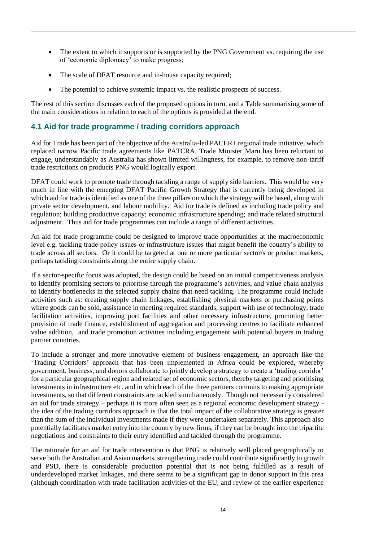- The extent to which it supports or is supported by the PNG Government vs. requiring the use of 'economic diplomacy' to make progress;
- The scale of DFAT resource and in-house capacity required;
- The potential to achieve systemic impact vs. the realistic prospects of success.

The rest of this section discusses each of the proposed options in turn, and a Table summarising some of the main considerations in relation to each of the options is provided at the end.

#### <span id="page-16-0"></span>**4.1 Aid for trade programme / trading corridors approach**

Aid for Trade has been part of the objective of the Australia-led PACER+ regional trade initiative, which replaced narrow Pacific trade agreements like PATCRA. Trade Minister Maru has been reluctant to engage, understandably as Australia has shown limited willingness, for example, to remove non-tariff trade restrictions on products PNG would logically export.

DFAT could work to promote trade through tackling a range of supply side barriers. This would be very much in line with the emerging DFAT Pacific Growth Strategy that is currently being developed in which aid for trade is identified as one of the three pillars on which the strategy will be based, along with private sector development, and labour mobility. Aid for trade is defined as including trade policy and regulation; building productive capacity; economic infrastructure spending; and trade related structural adjustment. Thus aid for trade programmes can include a range of different activities.

An aid for trade programme could be designed to improve trade opportunities at the macroeconomic level e.g. tackling trade policy issues or infrastructure issues that might benefit the country's ability to trade across all sectors. Or it could be targeted at one or more particular sector/s or product markets, perhaps tackling constraints along the entire supply chain.

If a sector-specific focus was adopted, the design could be based on an initial competitiveness analysis to identify promising sectors to prioritise through the programme's activities, and value chain analysis to identify bottlenecks in the selected supply chains that need tackling. The programme could include activities such as: creating supply chain linkages, establishing physical markets or purchasing points where goods can be sold, assistance in meeting required standards, support with use of technology, trade facilitation activities, improving port facilities and other necessary infrastructure, promoting better provision of trade finance, establishment of aggregation and processing centres to facilitate enhanced value addition, and trade promotion activities including engagement with potential buyers in trading partner countries.

To include a stronger and more innovative element of business engagement, an approach like the 'Trading Corridors' approach that has been implemented in Africa could be explored, whereby government, business, and donors collaborate to jointly develop a strategy to create a 'trading corridor' for a particular geographical region and related set of economic sectors, thereby targeting and prioritising investments in infrastructure etc. and in which each of the three partners commits to making appropriate investments, so that different constraints are tackled simultaneously. Though not necessarily considered an aid for trade strategy – perhaps it is more often seen as a regional economic development strategy the idea of the trading corridors approach is that the total impact of the collaborative strategy is greater than the sum of the individual investments made if they were undertaken separately. This approach also potentially facilitates market entry into the country by new firms, if they can be brought into the tripartite negotiations and constraints to their entry identified and tackled through the programme.

The rationale for an aid for trade intervention is that PNG is relatively well placed geographically to serve both the Australian and Asian markets, strengthening trade could contribute significantly to growth and PSD, there is considerable production potential that is not being fulfilled as a result of underdeveloped market linkages, and there seems to be a significant gap in donor support in this area (although coordination with trade facilitation activities of the EU, and review of the earlier experience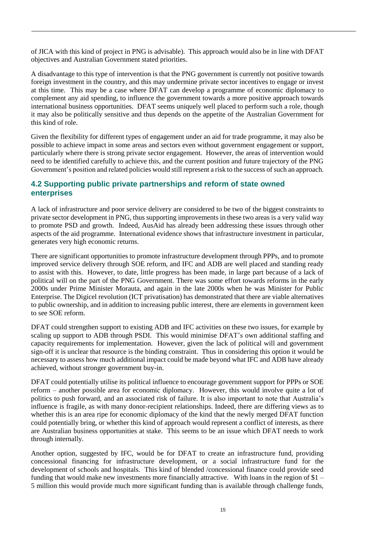of JICA with this kind of project in PNG is advisable). This approach would also be in line with DFAT objectives and Australian Government stated priorities.

A disadvantage to this type of intervention is that the PNG government is currently not positive towards foreign investment in the country, and this may undermine private sector incentives to engage or invest at this time. This may be a case where DFAT can develop a programme of economic diplomacy to complement any aid spending, to influence the government towards a more positive approach towards international business opportunities. DFAT seems uniquely well placed to perform such a role, though it may also be politically sensitive and thus depends on the appetite of the Australian Government for this kind of role.

Given the flexibility for different types of engagement under an aid for trade programme, it may also be possible to achieve impact in some areas and sectors even without government engagement or support, particularly where there is strong private sector engagement. However, the areas of intervention would need to be identified carefully to achieve this, and the current position and future trajectory of the PNG Government's position and related policies would still represent a risk to the success of such an approach.

#### <span id="page-17-0"></span>**4.2 Supporting public private partnerships and reform of state owned enterprises**

A lack of infrastructure and poor service delivery are considered to be two of the biggest constraints to private sector development in PNG, thus supporting improvements in these two areas is a very valid way to promote PSD and growth. Indeed, AusAid has already been addressing these issues through other aspects of the aid programme. International evidence shows that infrastructure investment in particular, generates very high economic returns.

There are significant opportunities to promote infrastructure development through PPPs, and to promote improved service delivery through SOE reform, and IFC and ADB are well placed and standing ready to assist with this. However, to date, little progress has been made, in large part because of a lack of political will on the part of the PNG Government. There was some effort towards reforms in the early 2000s under Prime Minister Morauta, and again in the late 2000s when he was Minister for Public Enterprise. The Digicel revolution (ICT privatisation) has demonstrated that there are viable alternatives to public ownership, and in addition to increasing public interest, there are elements in government keen to see SOE reform.

DFAT could strengthen support to existing ADB and IFC activities on these two issues, for example by scaling up support to ADB through PSDI. This would minimise DFAT's own additional staffing and capacity requirements for implementation. However, given the lack of political will and government sign-off it is unclear that resource is the binding constraint. Thus in considering this option it would be necessary to assess how much additional impact could be made beyond what IFC and ADB have already achieved, without stronger government buy-in.

DFAT could potentially utilise its political influence to encourage government support for PPPs or SOE reform – another possible area for economic diplomacy. However, this would involve quite a lot of politics to push forward, and an associated risk of failure. It is also important to note that Australia's influence is fragile, as with many donor-recipient relationships. Indeed, there are differing views as to whether this is an area ripe for economic diplomacy of the kind that the newly merged DFAT function could potentially bring, or whether this kind of approach would represent a conflict of interests, as there are Australian business opportunities at stake. This seems to be an issue which DFAT needs to work through internally.

Another option, suggested by IFC, would be for DFAT to create an infrastructure fund, providing concessional financing for infrastructure development, or a social infrastructure fund for the development of schools and hospitals. This kind of blended /concessional finance could provide seed funding that would make new investments more financially attractive. With loans in the region of \$1 – 5 million this would provide much more significant funding than is available through challenge funds,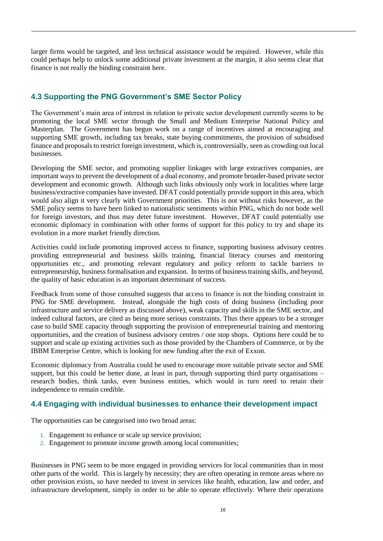larger firms would be targeted, and less technical assistance would be required. However, while this could perhaps help to unlock some additional private investment at the margin, it also seems clear that finance is not really the binding constraint here.

#### <span id="page-18-0"></span>**4.3 Supporting the PNG Government's SME Sector Policy**

The Government's main area of interest in relation to private sector development currently seems to be promoting the local SME sector through the Small and Medium Enterprise National Policy and Masterplan. The Government has begun work on a range of incentives aimed at encouraging and supporting SME growth, including tax breaks, state buying commitments, the provision of subsidised finance and proposals to restrict foreign investment, which is, controversially, seen as crowding out local businesses.

Developing the SME sector, and promoting supplier linkages with large extractives companies, are important ways to prevent the development of a dual economy, and promote broader-based private sector development and economic growth. Although such links obviously only work in localities where large business/extractive companies have invested. DFAT could potentially provide support in this area, which would also align it very clearly with Government priorities. This is not without risks however, as the SME policy seems to have been linked to nationalistic sentiments within PNG, which do not bode well for foreign investors, and thus may deter future investment. However, DFAT could potentially use economic diplomacy in combination with other forms of support for this policy to try and shape its evolution in a more market friendly direction.

Activities could include promoting improved access to finance, supporting business advisory centres providing entrepreneurial and business skills training, financial literacy courses and mentoring opportunities etc., and promoting relevant regulatory and policy reform to tackle barriers to entrepreneurship, business formalisation and expansion. In terms of business training skills, and beyond, the quality of basic education is an important determinant of success.

Feedback from some of those consulted suggests that access to finance is not the binding constraint in PNG for SME development. Instead, alongside the high costs of doing business (including poor infrastructure and service delivery as discussed above), weak capacity and skills in the SME sector, and indeed cultural factors, are cited as being more serious constraints. Thus there appears to be a stronger case to build SME capacity through supporting the provision of entrepreneurial training and mentoring opportunities, and the creation of business advisory centres / one stop shops. Options here could be to support and scale up existing activities such as those provided by the Chambers of Commerce, or by the IBBM Enterprise Centre, which is looking for new funding after the exit of Exxon.

Economic diplomacy from Australia could be used to encourage more suitable private sector and SME support, but this could be better done, at least in part, through supporting third party organisations – research bodies, think tanks, even business entities, which would in turn need to retain their independence to remain credible.

#### <span id="page-18-1"></span>**4.4 Engaging with individual businesses to enhance their development impact**

The opportunities can be categorised into two broad areas:

- 1. Engagement to enhance or scale up service provision;
- 2. Engagement to promote income growth among local communities;

Businesses in PNG seem to be more engaged in providing services for local communities than in most other parts of the world. This is largely by necessity; they are often operating in remote areas where no other provision exists, so have needed to invest in services like health, education, law and order, and infrastructure development, simply in order to be able to operate effectively. Where their operations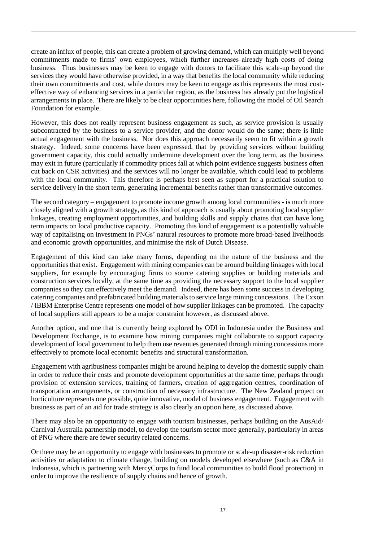create an influx of people, this can create a problem of growing demand, which can multiply well beyond commitments made to firms' own employees, which further increases already high costs of doing business. Thus businesses may be keen to engage with donors to facilitate this scale-up beyond the services they would have otherwise provided, in a way that benefits the local community while reducing their own commitments and cost, while donors may be keen to engage as this represents the most costeffective way of enhancing services in a particular region, as the business has already put the logistical arrangements in place. There are likely to be clear opportunities here, following the model of Oil Search Foundation for example.

However, this does not really represent business engagement as such, as service provision is usually subcontracted by the business to a service provider, and the donor would do the same; there is little actual engagement with the business. Nor does this approach necessarily seem to fit within a growth strategy. Indeed, some concerns have been expressed, that by providing services without building government capacity, this could actually undermine development over the long term, as the business may exit in future (particularly if commodity prices fall at which point evidence suggests business often cut back on CSR activities) and the services will no longer be available, which could lead to problems with the local community. This therefore is perhaps best seen as support for a practical solution to service delivery in the short term, generating incremental benefits rather than transformative outcomes.

The second category – engagement to promote income growth among local communities - is much more closely aligned with a growth strategy, as this kind of approach is usually about promoting local supplier linkages, creating employment opportunities, and building skills and supply chains that can have long term impacts on local productive capacity. Promoting this kind of engagement is a potentially valuable way of capitalising on investment in PNGs' natural resources to promote more broad-based livelihoods and economic growth opportunities, and minimise the risk of Dutch Disease.

Engagement of this kind can take many forms, depending on the nature of the business and the opportunities that exist. Engagement with mining companies can be around building linkages with local suppliers, for example by encouraging firms to source catering supplies or building materials and construction services locally, at the same time as providing the necessary support to the local supplier companies so they can effectively meet the demand. Indeed, there has been some success in developing catering companies and prefabricated building materials to service large mining concessions. The Exxon / IBBM Enterprise Centre represents one model of how supplier linkages can be promoted. The capacity of local suppliers still appears to be a major constraint however, as discussed above.

Another option, and one that is currently being explored by ODI in Indonesia under the Business and Development Exchange, is to examine how mining companies might collaborate to support capacity development of local government to help them use revenues generated through mining concessions more effectively to promote local economic benefits and structural transformation.

Engagement with agribusiness companies might be around helping to develop the domestic supply chain in order to reduce their costs and promote development opportunities at the same time, perhaps through provision of extension services, training of farmers, creation of aggregation centres, coordination of transportation arrangements, or construction of necessary infrastructure. The New Zealand project on horticulture represents one possible, quite innovative, model of business engagement. Engagement with business as part of an aid for trade strategy is also clearly an option here, as discussed above.

There may also be an opportunity to engage with tourism businesses, perhaps building on the AusAid/ Carnival Australia partnership model, to develop the tourism sector more generally, particularly in areas of PNG where there are fewer security related concerns.

Or there may be an opportunity to engage with businesses to promote or scale-up disaster-risk reduction activities or adaptation to climate change, building on models developed elsewhere (such as C&A in Indonesia, which is partnering with MercyCorps to fund local communities to build flood protection) in order to improve the resilience of supply chains and hence of growth.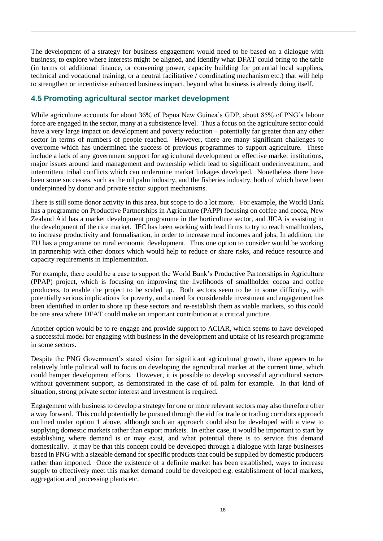The development of a strategy for business engagement would need to be based on a dialogue with business, to explore where interests might be aligned, and identify what DFAT could bring to the table (in terms of additional finance, or convening power, capacity building for potential local suppliers, technical and vocational training, or a neutral facilitative / coordinating mechanism etc.) that will help to strengthen or incentivise enhanced business impact, beyond what business is already doing itself.

#### <span id="page-20-0"></span>**4.5 Promoting agricultural sector market development**

While agriculture accounts for about 36% of Papua New Guinea's GDP, about 85% of PNG's labour force are engaged in the sector, many at a subsistence level. Thus a focus on the agriculture sector could have a very large impact on development and poverty reduction – potentially far greater than any other sector in terms of numbers of people reached. However, there are many significant challenges to overcome which has undermined the success of previous programmes to support agriculture. These include a lack of any government support for agricultural development or effective market institutions, major issues around land management and ownership which lead to significant underinvestment, and intermittent tribal conflicts which can undermine market linkages developed. Nonetheless there have been some successes, such as the oil palm industry, and the fisheries industry, both of which have been underpinned by donor and private sector support mechanisms.

There is still some donor activity in this area, but scope to do a lot more. For example, the World Bank has a programme on Productive Partnerships in Agriculture (PAPP) focusing on coffee and cocoa, New Zealand Aid has a market development programme in the horticulture sector, and JICA is assisting in the development of the rice market. IFC has been working with lead firms to try to reach smallholders, to increase productivity and formalisation, in order to increase rural incomes and jobs. In addition, the EU has a programme on rural economic development. Thus one option to consider would be working in partnership with other donors which would help to reduce or share risks, and reduce resource and capacity requirements in implementation.

For example, there could be a case to support the World Bank's Productive Partnerships in Agriculture (PPAP) project, which is focusing on improving the livelihoods of smallholder cocoa and coffee producers, to enable the project to be scaled up. Both sectors seem to be in some difficulty, with potentially serious implications for poverty, and a need for considerable investment and engagement has been identified in order to shore up these sectors and re-establish them as viable markets, so this could be one area where DFAT could make an important contribution at a critical juncture.

Another option would be to re-engage and provide support to ACIAR, which seems to have developed a successful model for engaging with business in the development and uptake of its research programme in some sectors.

Despite the PNG Government's stated vision for significant agricultural growth, there appears to be relatively little political will to focus on developing the agricultural market at the current time, which could hamper development efforts. However, it is possible to develop successful agricultural sectors without government support, as demonstrated in the case of oil palm for example. In that kind of situation, strong private sector interest and investment is required.

Engagement with business to develop a strategy for one or more relevant sectors may also therefore offer a way forward. This could potentially be pursued through the aid for trade or trading corridors approach outlined under option 1 above, although such an approach could also be developed with a view to supplying domestic markets rather than export markets. In either case, it would be important to start by establishing where demand is or may exist, and what potential there is to service this demand domestically. It may be that this concept could be developed through a dialogue with large businesses based in PNG with a sizeable demand for specific products that could be supplied by domestic producers rather than imported. Once the existence of a definite market has been established, ways to increase supply to effectively meet this market demand could be developed e.g. establishment of local markets, aggregation and processing plants etc.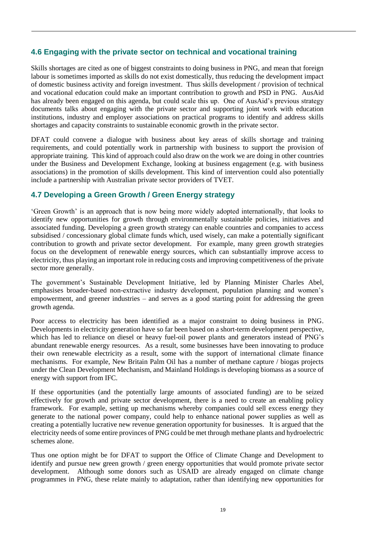#### <span id="page-21-0"></span>**4.6 Engaging with the private sector on technical and vocational training**

Skills shortages are cited as one of biggest constraints to doing business in PNG, and mean that foreign labour is sometimes imported as skills do not exist domestically, thus reducing the development impact of domestic business activity and foreign investment. Thus skills development / provision of technical and vocational education could make an important contribution to growth and PSD in PNG. AusAid has already been engaged on this agenda, but could scale this up. One of AusAid's previous strategy documents talks about engaging with the private sector and supporting joint work with education institutions, industry and employer associations on practical programs to identify and address skills shortages and capacity constraints to sustainable economic growth in the private sector.

DFAT could convene a dialogue with business about key areas of skills shortage and training requirements, and could potentially work in partnership with business to support the provision of appropriate training. This kind of approach could also draw on the work we are doing in other countries under the Business and Development Exchange, looking at business engagement (e.g. with business associations) in the promotion of skills development. This kind of intervention could also potentially include a partnership with Australian private sector providers of TVET.

#### <span id="page-21-1"></span>**4.7 Developing a Green Growth / Green Energy strategy**

'Green Growth' is an approach that is now being more widely adopted internationally, that looks to identify new opportunities for growth through environmentally sustainable policies, initiatives and associated funding. Developing a green growth strategy can enable countries and companies to access subsidised / concessionary global climate funds which, used wisely, can make a potentially significant contribution to growth and private sector development. For example, many green growth strategies focus on the development of renewable energy sources, which can substantially improve access to electricity, thus playing an important role in reducing costs and improving competitiveness of the private sector more generally.

The government's Sustainable Development Initiative, led by Planning Minister Charles Abel, emphasises broader-based non-extractive industry development, population planning and women's empowerment, and greener industries – and serves as a good starting point for addressing the green growth agenda.

Poor access to electricity has been identified as a major constraint to doing business in PNG. Developments in electricity generation have so far been based on a short-term development perspective, which has led to reliance on diesel or heavy fuel-oil power plants and generators instead of PNG's abundant renewable energy resources. As a result, some businesses have been innovating to produce their own renewable electricity as a result, some with the support of international climate finance mechanisms. For example, New Britain Palm Oil has a number of methane capture / biogas projects under the Clean Development Mechanism, and Mainland Holdings is developing biomass as a source of energy with support from IFC.

If these opportunities (and the potentially large amounts of associated funding) are to be seized effectively for growth and private sector development, there is a need to create an enabling policy framework. For example, setting up mechanisms whereby companies could sell excess energy they generate to the national power company, could help to enhance national power supplies as well as creating a potentially lucrative new revenue generation opportunity for businesses. It is argued that the electricity needs of some entire provinces of PNG could be met through methane plants and hydroelectric schemes alone.

Thus one option might be for DFAT to support the Office of Climate Change and Development to identify and pursue new green growth / green energy opportunities that would promote private sector development. Although some donors such as USAID are already engaged on climate change programmes in PNG, these relate mainly to adaptation, rather than identifying new opportunities for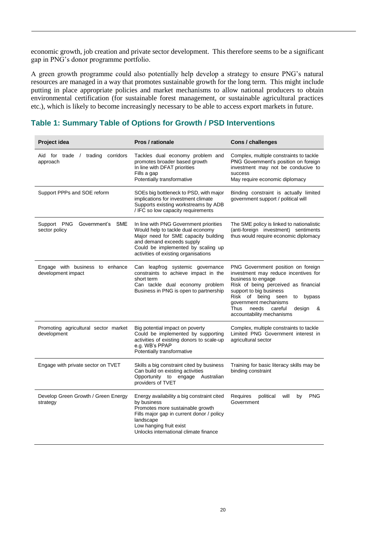economic growth, job creation and private sector development. This therefore seems to be a significant gap in PNG's donor programme portfolio.

A green growth programme could also potentially help develop a strategy to ensure PNG's natural resources are managed in a way that promotes sustainable growth for the long term. This might include putting in place appropriate policies and market mechanisms to allow national producers to obtain environmental certification (for sustainable forest management, or sustainable agricultural practices etc.), which is likely to become increasingly necessary to be able to access export markets in future.

#### **Table 1: Summary Table of Options for Growth / PSD Interventions**

| Project idea                                          | Pros / rationale                                                                                                                                                                                                               | Cons / challenges                                                                                                                                                                                                                                                                                          |
|-------------------------------------------------------|--------------------------------------------------------------------------------------------------------------------------------------------------------------------------------------------------------------------------------|------------------------------------------------------------------------------------------------------------------------------------------------------------------------------------------------------------------------------------------------------------------------------------------------------------|
| Aid for trade / trading<br>corridors<br>approach      | Tackles dual economy problem and<br>promotes broader based growth<br>In line with DFAT priorities<br>Fills a gap<br>Potentially transformative                                                                                 | Complex, multiple constraints to tackle<br>PNG Government's position on foreign<br>investment may not be conducive to<br>success<br>May require economic diplomacy                                                                                                                                         |
| Support PPPs and SOE reform                           | SOEs big bottleneck to PSD, with major<br>implications for investment climate<br>Supports existing workstreams by ADB<br>/ IFC so low capacity requirements                                                                    | Binding constraint is actually limited<br>government support / political will                                                                                                                                                                                                                              |
| Support PNG<br>Government's SME<br>sector policy      | In line with PNG Government priorities<br>Would help to tackle dual economy<br>Major need for SME capacity building<br>and demand exceeds supply<br>Could be implemented by scaling up<br>activities of existing organisations | The SME policy is linked to nationalistic<br>(anti-foreign investment) sentiments<br>thus would require economic diplomacy                                                                                                                                                                                 |
| Engage with business to enhance<br>development impact | Can leapfrog systemic governance<br>constraints to achieve impact in the<br>short term<br>Can tackle dual economy problem<br>Business in PNG is open to partnership                                                            | PNG Government position on foreign<br>investment may reduce incentives for<br>business to engage<br>Risk of being perceived as financial<br>support to big business<br>Risk of being seen<br>bypass<br>to<br>government mechanisms<br>Thus<br>needs<br>careful<br>design<br>&<br>accountability mechanisms |
| Promoting agricultural sector market<br>development   | Big potential impact on poverty<br>Could be implemented by supporting<br>activities of existing donors to scale-up<br>e.g. WB's PPAP<br>Potentially transformative                                                             | Complex, multiple constraints to tackle<br>Limited PNG Government interest in<br>agricultural sector                                                                                                                                                                                                       |
| Engage with private sector on TVET                    | Skills a big constraint cited by business<br>Can build on existing activities<br>Opportunity to<br>engage Australian<br>providers of TVET                                                                                      | Training for basic literacy skills may be<br>binding constraint                                                                                                                                                                                                                                            |
| Develop Green Growth / Green Energy<br>strategy       | Energy availability a big constraint cited<br>by business<br>Promotes more sustainable growth<br>Fills major gap in current donor / policy<br>landscape<br>Low hanging fruit exist<br>Unlocks international climate finance    | will<br><b>PNG</b><br>Requires<br>political<br>by<br>Government                                                                                                                                                                                                                                            |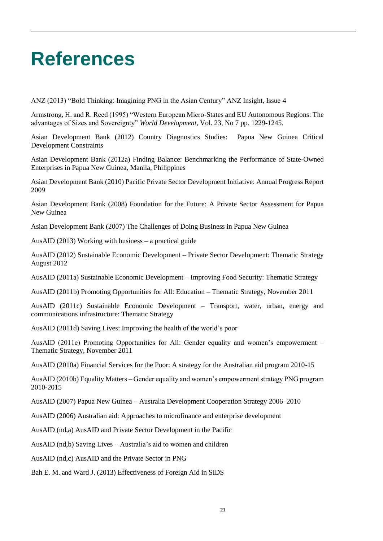### <span id="page-23-0"></span>**References**

ANZ (2013) "Bold Thinking: Imagining PNG in the Asian Century" ANZ Insight, Issue 4

Armstrong, H. and R. Reed (1995) "Western European Micro-States and EU Autonomous Regions: The advantages of Sizes and Sovereignty" *World Development*, Vol. 23, No 7 pp. 1229-1245.

Asian Development Bank (2012) Country Diagnostics Studies: Papua New Guinea Critical Development Constraints

Asian Development Bank (2012a) Finding Balance: Benchmarking the Performance of State-Owned Enterprises in Papua New Guinea, Manila, Philippines

Asian Development Bank (2010) Pacific Private Sector Development Initiative: Annual Progress Report 2009

Asian Development Bank (2008) Foundation for the Future: A Private Sector Assessment for Papua New Guinea

Asian Development Bank (2007) The Challenges of Doing Business in Papua New Guinea

AusAID (2013) Working with business – a practical guide

AusAID (2012) Sustainable Economic Development – Private Sector Development: Thematic Strategy August 2012

AusAID (2011a) Sustainable Economic Development – Improving Food Security: Thematic Strategy

AusAID (2011b) Promoting Opportunities for All: Education – Thematic Strategy, November 2011

AusAID (2011c) Sustainable Economic Development – Transport, water, urban, energy and communications infrastructure: Thematic Strategy

AusAID (2011d) Saving Lives: Improving the health of the world's poor

AusAID (2011e) Promoting Opportunities for All: Gender equality and women's empowerment – Thematic Strategy, November 2011

AusAID (2010a) Financial Services for the Poor: A strategy for the Australian aid program 2010-15

AusAID (2010b) Equality Matters – Gender equality and women's empowerment strategy PNG program 2010-2015

AusAID (2007) Papua New Guinea – Australia Development Cooperation Strategy 2006–2010

AusAID (2006) Australian aid: Approaches to microfinance and enterprise development

AusAID (nd,a) AusAID and Private Sector Development in the Pacific

AusAID (nd,b) Saving Lives – Australia's aid to women and children

AusAID (nd,c) AusAID and the Private Sector in PNG

Bah E. M. and Ward J. (2013) Effectiveness of Foreign Aid in SIDS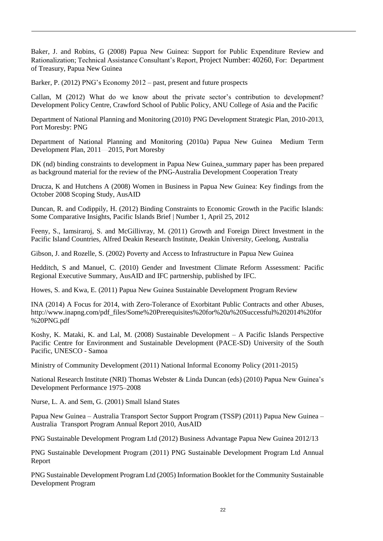Baker, J. and Robins, G (2008) Papua New Guinea: Support for Public Expenditure Review and Rationalization; Technical Assistance Consultant's Report, Project Number: 40260, For: Department of Treasury, Papua New Guinea

Barker, P. (2012) PNG's Economy 2012 – past, present and future prospects

Callan, M (2012) What do we know about the private sector's contribution to development? Development Policy Centre, Crawford School of Public Policy, ANU College of Asia and the Pacific

Department of National Planning and Monitoring (2010) PNG Development Strategic Plan, 2010-2013, Port Moresby: PNG

Department of National Planning and Monitoring (2010a) Papua New Guinea Medium Term Development Plan, 2011—2015, Port Moresby

DK (nd) binding constraints to development in Papua New Guinea, summary paper has been prepared as background material for the review of the PNG-Australia Development Cooperation Treaty

Drucza, K and Hutchens A (2008) Women in Business in Papua New Guinea: Key findings from the October 2008 Scoping Study, AusAID

Duncan, R. and Codippily, H. (2012) Binding Constraints to Economic Growth in the Pacific Islands: Some Comparative Insights, Pacific Islands Brief | Number 1, April 25, 2012

Feeny, S., Iamsiraroj, S. and McGillivray, M. (2011) Growth and Foreign Direct Investment in the Pacific Island Countries, Alfred Deakin Research Institute, Deakin University, Geelong, Australia

Gibson, J. and Rozelle, S. (2002) Poverty and Access to Infrastructure in Papua New Guinea

Hedditch, S and Manuel, C. (2010) Gender and Investment Climate Reform Assessment*:* Pacific Regional Executive Summary, AusAID and IFC partnership, published by IFC.

Howes, S. and Kwa, E. (2011) Papua New Guinea Sustainable Development Program Review

INA (2014) A Focus for 2014, with Zero-Tolerance of Exorbitant Public Contracts and other Abuses, http://www.inapng.com/pdf\_files/Some%20Prerequisites%20for%20a%20Successful%202014%20for %20PNG.pdf

Koshy, K. Mataki, K. and Lal, M. (2008) Sustainable Development – A Pacific Islands Perspective Pacific Centre for Environment and Sustainable Development (PACE-SD) University of the South Pacific, UNESCO - Samoa

Ministry of Community Development (2011) National Informal Economy Policy (2011-2015)

National Research Institute (NRI) Thomas Webster & Linda Duncan (eds) (2010) Papua New Guinea's Development Performance 1975–2008

Nurse, L. A. and Sem, G. (2001) Small Island States

Papua New Guinea – Australia Transport Sector Support Program (TSSP) (2011) Papua New Guinea – Australia Transport Program Annual Report 2010, AusAID

PNG Sustainable Development Program Ltd (2012) Business Advantage Papua New Guinea 2012/13

PNG Sustainable Development Program (2011) PNG Sustainable Development Program Ltd Annual Report

PNG Sustainable Development Program Ltd (2005) Information Booklet for the Community Sustainable Development Program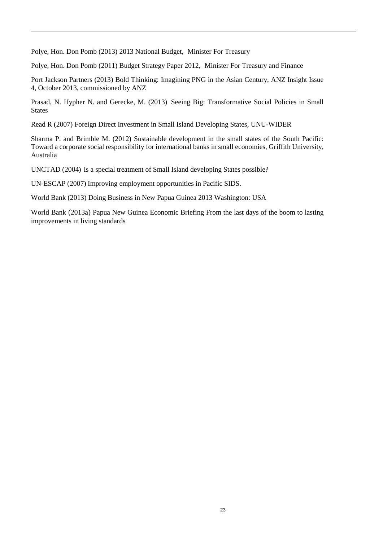Polye, Hon. Don Pomb (2013) 2013 National Budget, Minister For Treasury

Polye, Hon. Don Pomb (2011) Budget Strategy Paper 2012, Minister For Treasury and Finance

Port Jackson Partners (2013) Bold Thinking: Imagining PNG in the Asian Century, ANZ Insight Issue 4, October 2013, commissioned by ANZ

Prasad, N. Hypher N. and Gerecke, M. (2013) Seeing Big: Transformative Social Policies in Small **States** 

Read R (2007) Foreign Direct Investment in Small Island Developing States, UNU-WIDER

Sharma P. and Brimble M. (2012) Sustainable development in the small states of the South Pacific: Toward a corporate social responsibility for international banks in small economies, Griffith University, Australia

UNCTAD (2004) Is a special treatment of Small Island developing States possible?

UN-ESCAP (2007) Improving employment opportunities in Pacific SIDS.

World Bank (2013) Doing Business in New Papua Guinea 2013 Washington: USA

World Bank (2013a) Papua New Guinea Economic Briefing From the last days of the boom to lasting improvements in living standards